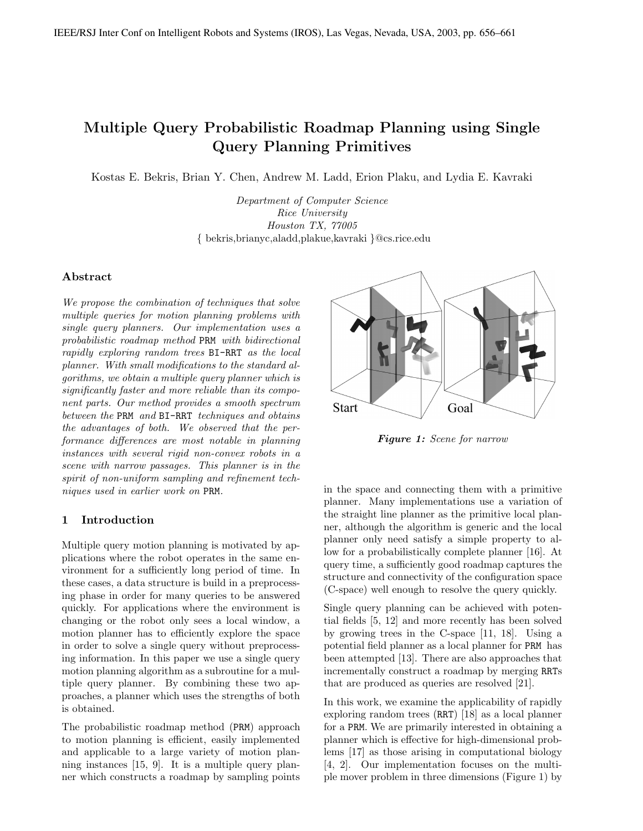# Multiple Query Probabilistic Roadmap Planning using Single Query Planning Primitives

Kostas E. Bekris, Brian Y. Chen, Andrew M. Ladd, Erion Plaku, and Lydia E. Kavraki

Department of Computer Science Rice University Houston TX, 77005 { bekris,brianyc,aladd,plakue,kavraki }@cs.rice.edu

# Abstract

We propose the combination of techniques that solve multiple queries for motion planning problems with single query planners. Our implementation uses a probabilistic roadmap method PRM with bidirectional rapidly exploring random trees BI-RRT as the local planner. With small modifications to the standard algorithms, we obtain a multiple query planner which is significantly faster and more reliable than its component parts. Our method provides a smooth spectrum between the PRM and BI-RRT techniques and obtains the advantages of both. We observed that the performance differences are most notable in planning instances with several rigid non-convex robots in a scene with narrow passages. This planner is in the spirit of non-uniform sampling and refinement techniques used in earlier work on PRM.

# 1 Introduction

Multiple query motion planning is motivated by applications where the robot operates in the same environment for a sufficiently long period of time. In these cases, a data structure is build in a preprocessing phase in order for many queries to be answered quickly. For applications where the environment is changing or the robot only sees a local window, a motion planner has to efficiently explore the space in order to solve a single query without preprocessing information. In this paper we use a single query motion planning algorithm as a subroutine for a multiple query planner. By combining these two approaches, a planner which uses the strengths of both is obtained.

The probabilistic roadmap method (PRM) approach to motion planning is efficient, easily implemented and applicable to a large variety of motion planning instances [15, 9]. It is a multiple query planner which constructs a roadmap by sampling points



Figure 1: Scene for narrow

in the space and connecting them with a primitive planner. Many implementations use a variation of the straight line planner as the primitive local planner, although the algorithm is generic and the local planner only need satisfy a simple property to allow for a probabilistically complete planner [16]. At query time, a sufficiently good roadmap captures the structure and connectivity of the configuration space (C-space) well enough to resolve the query quickly.

Single query planning can be achieved with potential fields [5, 12] and more recently has been solved by growing trees in the C-space [11, 18]. Using a potential field planner as a local planner for PRM has been attempted [13]. There are also approaches that incrementally construct a roadmap by merging RRTs that are produced as queries are resolved [21].

In this work, we examine the applicability of rapidly exploring random trees (RRT) [18] as a local planner for a PRM. We are primarily interested in obtaining a planner which is effective for high-dimensional problems [17] as those arising in computational biology [4, 2]. Our implementation focuses on the multiple mover problem in three dimensions (Figure 1) by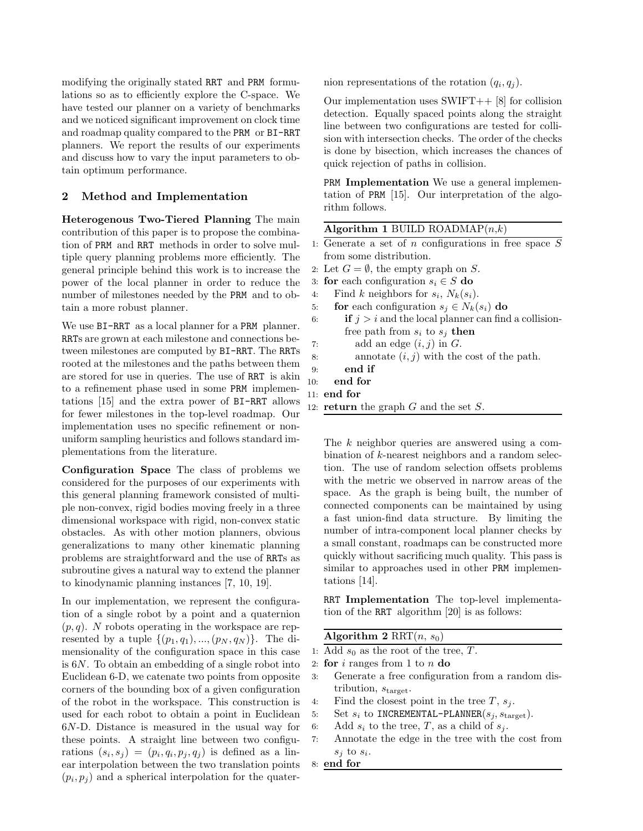modifying the originally stated RRT and PRM formulations so as to efficiently explore the C-space. We have tested our planner on a variety of benchmarks and we noticed significant improvement on clock time and roadmap quality compared to the PRM or BI-RRT planners. We report the results of our experiments and discuss how to vary the input parameters to obtain optimum performance.

# 2 Method and Implementation

Heterogenous Two-Tiered Planning The main contribution of this paper is to propose the combination of PRM and RRT methods in order to solve multiple query planning problems more efficiently. The general principle behind this work is to increase the power of the local planner in order to reduce the number of milestones needed by the PRM and to obtain a more robust planner.

We use  $BI-RRT$  as a local planner for a PRM planner. RRTs are grown at each milestone and connections between milestones are computed by BI-RRT. The RRTs rooted at the milestones and the paths between them are stored for use in queries. The use of RRT is akin to a refinement phase used in some PRM implementations [15] and the extra power of BI-RRT allows for fewer milestones in the top-level roadmap. Our implementation uses no specific refinement or nonuniform sampling heuristics and follows standard implementations from the literature.

Configuration Space The class of problems we considered for the purposes of our experiments with this general planning framework consisted of multiple non-convex, rigid bodies moving freely in a three dimensional workspace with rigid, non-convex static obstacles. As with other motion planners, obvious generalizations to many other kinematic planning problems are straightforward and the use of RRTs as subroutine gives a natural way to extend the planner to kinodynamic planning instances [7, 10, 19].

In our implementation, we represent the configuration of a single robot by a point and a quaternion  $(p, q)$ . N robots operating in the workspace are represented by a tuple  $\{(p_1, q_1), ..., (p_N, q_N)\}\$ . The dimensionality of the configuration space in this case is 6N. To obtain an embedding of a single robot into Euclidean 6-D, we catenate two points from opposite corners of the bounding box of a given configuration of the robot in the workspace. This construction is used for each robot to obtain a point in Euclidean 6N-D. Distance is measured in the usual way for these points. A straight line between two configurations  $(s_i, s_j) = (p_i, q_i, p_j, q_j)$  is defined as a linear interpolation between the two translation points  $(p_i, p_j)$  and a spherical interpolation for the quaternion representations of the rotation  $(q_i, q_j)$ .

Our implementation uses  $SWIFT++$  [8] for collision detection. Equally spaced points along the straight line between two configurations are tested for collision with intersection checks. The order of the checks is done by bisection, which increases the chances of quick rejection of paths in collision.

PRM Implementation We use a general implementation of PRM [15]. Our interpretation of the algorithm follows.

# Algorithm 1 BUILD ROADMAP $(n,k)$

- 1: Generate a set of  $n$  configurations in free space  $S$ from some distribution.
- 2: Let  $G = \emptyset$ , the empty graph on S.
- 3: for each configuration  $s_i \in S$  do
- 4: Find k neighbors for  $s_i$ ,  $N_k(s_i)$ .
- 5: **for** each configuration  $s_i \in N_k(s_i)$  do
- 6: if  $j > i$  and the local planner can find a collisionfree path from  $s_i$  to  $s_j$  then 7: add an edge  $(i, j)$  in  $G$ . 8: annotate  $(i, j)$  with the cost of the path. 9: end if 10: end for

#### 11: end for

12: **return** the graph  $G$  and the set  $S$ .

The k neighbor queries are answered using a combination of k-nearest neighbors and a random selection. The use of random selection offsets problems with the metric we observed in narrow areas of the space. As the graph is being built, the number of connected components can be maintained by using a fast union-find data structure. By limiting the number of intra-component local planner checks by a small constant, roadmaps can be constructed more quickly without sacrificing much quality. This pass is similar to approaches used in other PRM implementations [14].

RRT Implementation The top-level implementation of the RRT algorithm [20] is as follows:

| Algorithm 2 RRT $(n, s_0)$ |  |  |  |  |
|----------------------------|--|--|--|--|
|----------------------------|--|--|--|--|

- 1: Add  $s_0$  as the root of the tree, T.
- 2: for  $i$  ranges from 1 to  $n$  do
- 3: Generate a free configuration from a random distribution,  $s_{\text{target}}$ .
- 4: Find the closest point in the tree  $T$ ,  $s_j$ .
- 5: Set  $s_i$  to INCREMENTAL-PLANNER $(s_j, s_{\text{target}})$ .
- 6: Add  $s_i$  to the tree, T, as a child of  $s_j$ .
- 7: Annotate the edge in the tree with the cost from  $s_j$  to  $s_i$ .
- 8: end for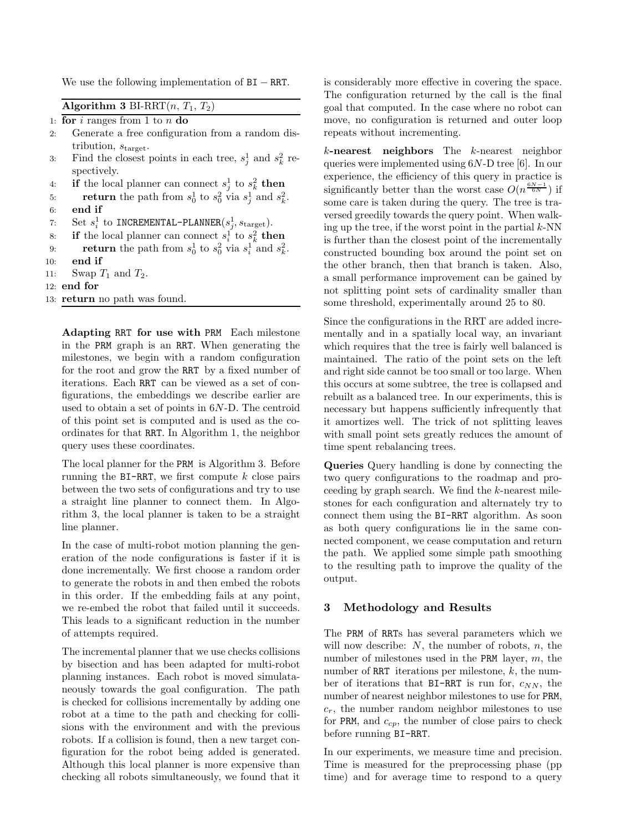We use the following implementation of  $BI - RRT$ .

| Algorithm 3 BI-RRT $(n, T_1, T_2)$ |  |  |  |  |  |  |
|------------------------------------|--|--|--|--|--|--|
|------------------------------------|--|--|--|--|--|--|

|  |  |  | 1: for i ranges from 1 to n do |  |  |  |  |  |
|--|--|--|--------------------------------|--|--|--|--|--|
|--|--|--|--------------------------------|--|--|--|--|--|

- 2: Generate a free configuration from a random distribution,  $s_{\text{target}}$ .
- 3: Find the closest points in each tree,  $s_j^1$  and  $s_k^2$  respectively.
- 4: if the local planner can connect  $s_j^1$  to  $s_k^2$  then
- 5: **return** the path from  $s_0^1$  to  $s_0^2$  via  $s_j^1$  and  $s_k^2$ . 6: end if
- 7: Set  $s_i^1$  to INCREMENTAL-PLANNER $(s_j^1, s_{\text{target}})$ .
- 8: if the local planner can connect  $s_i^1$  to  $s_k^2$  then
- 9: **return** the path from  $s_0^1$  to  $s_0^2$  via  $s_i^1$  and  $s_k^2$ .
- 10: end if
- 11: Swap  $T_1$  and  $T_2$ .
- 12: end for
- 13: return no path was found.

Adapting RRT for use with PRM Each milestone in the PRM graph is an RRT. When generating the milestones, we begin with a random configuration for the root and grow the RRT by a fixed number of iterations. Each RRT can be viewed as a set of configurations, the embeddings we describe earlier are used to obtain a set of points in 6N-D. The centroid of this point set is computed and is used as the coordinates for that RRT. In Algorithm 1, the neighbor query uses these coordinates.

The local planner for the PRM is Algorithm 3. Before running the  $BI-RRT$ , we first compute k close pairs between the two sets of configurations and try to use a straight line planner to connect them. In Algorithm 3, the local planner is taken to be a straight line planner.

In the case of multi-robot motion planning the generation of the node configurations is faster if it is done incrementally. We first choose a random order to generate the robots in and then embed the robots in this order. If the embedding fails at any point, we re-embed the robot that failed until it succeeds. This leads to a significant reduction in the number of attempts required.

The incremental planner that we use checks collisions by bisection and has been adapted for multi-robot planning instances. Each robot is moved simulataneously towards the goal configuration. The path is checked for collisions incrementally by adding one robot at a time to the path and checking for collisions with the environment and with the previous robots. If a collision is found, then a new target configuration for the robot being added is generated. Although this local planner is more expensive than checking all robots simultaneously, we found that it is considerably more effective in covering the space. The configuration returned by the call is the final goal that computed. In the case where no robot can move, no configuration is returned and outer loop repeats without incrementing.

 $k$ -nearest neighbors The  $k$ -nearest neighbor queries were implemented using 6N-D tree [6]. In our experience, the efficiency of this query in practice is significantly better than the worst case  $O(n^{\frac{6N-1}{6N}})$  if some care is taken during the query. The tree is traversed greedily towards the query point. When walking up the tree, if the worst point in the partial  $k$ -NN is further than the closest point of the incrementally constructed bounding box around the point set on the other branch, then that branch is taken. Also, a small performance improvement can be gained by not splitting point sets of cardinality smaller than some threshold, experimentally around 25 to 80.

Since the configurations in the RRT are added incrementally and in a spatially local way, an invariant which requires that the tree is fairly well balanced is maintained. The ratio of the point sets on the left and right side cannot be too small or too large. When this occurs at some subtree, the tree is collapsed and rebuilt as a balanced tree. In our experiments, this is necessary but happens sufficiently infrequently that it amortizes well. The trick of not splitting leaves with small point sets greatly reduces the amount of time spent rebalancing trees.

Queries Query handling is done by connecting the two query configurations to the roadmap and proceeding by graph search. We find the k-nearest milestones for each configuration and alternately try to connect them using the BI-RRT algorithm. As soon as both query configurations lie in the same connected component, we cease computation and return the path. We applied some simple path smoothing to the resulting path to improve the quality of the output.

### 3 Methodology and Results

The PRM of RRTs has several parameters which we will now describe:  $N$ , the number of robots,  $n$ , the number of milestones used in the PRM layer,  $m$ , the number of RRT iterations per milestone,  $k$ , the number of iterations that  $BI-RRT$  is run for,  $c_{NN}$ , the number of nearest neighbor milestones to use for PRM,  $c_r$ , the number random neighbor milestones to use for PRM, and  $c_{cp}$ , the number of close pairs to check before running BI-RRT.

In our experiments, we measure time and precision. Time is measured for the preprocessing phase (pp time) and for average time to respond to a query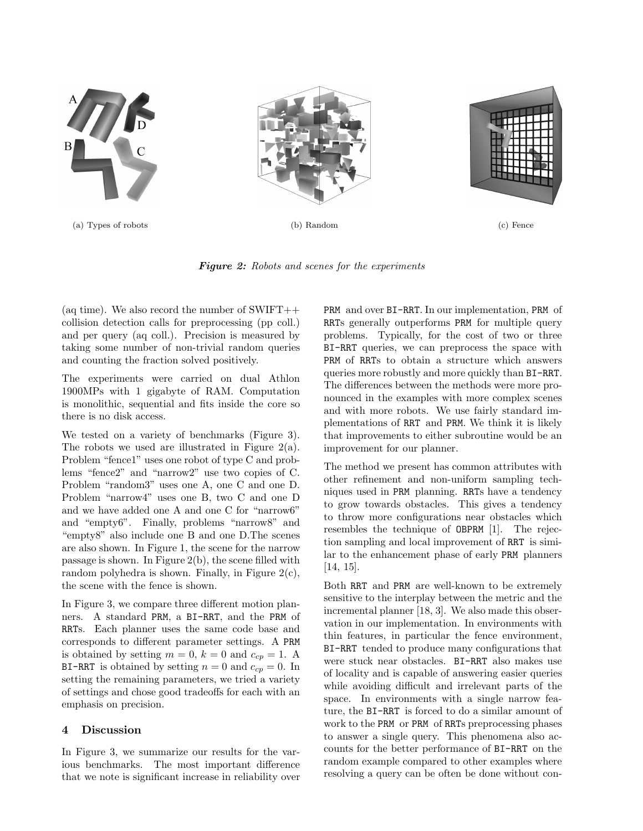

Figure 2: Robots and scenes for the experiments

(aq time). We also record the number of  $SWIFT++$ collision detection calls for preprocessing (pp coll.) and per query (aq coll.). Precision is measured by taking some number of non-trivial random queries and counting the fraction solved positively.

The experiments were carried on dual Athlon 1900MPs with 1 gigabyte of RAM. Computation is monolithic, sequential and fits inside the core so there is no disk access.

We tested on a variety of benchmarks (Figure 3). The robots we used are illustrated in Figure 2(a). Problem "fence1" uses one robot of type C and problems "fence2" and "narrow2" use two copies of C. Problem "random3" uses one A, one C and one D. Problem "narrow4" uses one B, two C and one D and we have added one A and one C for "narrow6" and "empty6". Finally, problems "narrow8" and "empty8" also include one B and one D.The scenes are also shown. In Figure 1, the scene for the narrow passage is shown. In Figure 2(b), the scene filled with random polyhedra is shown. Finally, in Figure  $2(c)$ , the scene with the fence is shown.

In Figure 3, we compare three different motion planners. A standard PRM, a BI-RRT, and the PRM of RRTs. Each planner uses the same code base and corresponds to different parameter settings. A PRM is obtained by setting  $m = 0$ ,  $k = 0$  and  $c_{cp} = 1$ . A BI-RRT is obtained by setting  $n = 0$  and  $c_{cp} = 0$ . In setting the remaining parameters, we tried a variety of settings and chose good tradeoffs for each with an emphasis on precision.

### 4 Discussion

In Figure 3, we summarize our results for the various benchmarks. The most important difference that we note is significant increase in reliability over

PRM and over BI-RRT. In our implementation, PRM of RRTs generally outperforms PRM for multiple query problems. Typically, for the cost of two or three BI-RRT queries, we can preprocess the space with PRM of RRTs to obtain a structure which answers queries more robustly and more quickly than BI-RRT. The differences between the methods were more pronounced in the examples with more complex scenes and with more robots. We use fairly standard implementations of RRT and PRM. We think it is likely that improvements to either subroutine would be an improvement for our planner.

The method we present has common attributes with other refinement and non-uniform sampling techniques used in PRM planning. RRTs have a tendency to grow towards obstacles. This gives a tendency to throw more configurations near obstacles which resembles the technique of OBPRM [1]. The rejection sampling and local improvement of RRT is similar to the enhancement phase of early PRM planners [14, 15].

Both RRT and PRM are well-known to be extremely sensitive to the interplay between the metric and the incremental planner [18, 3]. We also made this observation in our implementation. In environments with thin features, in particular the fence environment, BI-RRT tended to produce many configurations that were stuck near obstacles. BI-RRT also makes use of locality and is capable of answering easier queries while avoiding difficult and irrelevant parts of the space. In environments with a single narrow feature, the BI-RRT is forced to do a similar amount of work to the PRM or PRM of RRTs preprocessing phases to answer a single query. This phenomena also accounts for the better performance of BI-RRT on the random example compared to other examples where resolving a query can be often be done without con-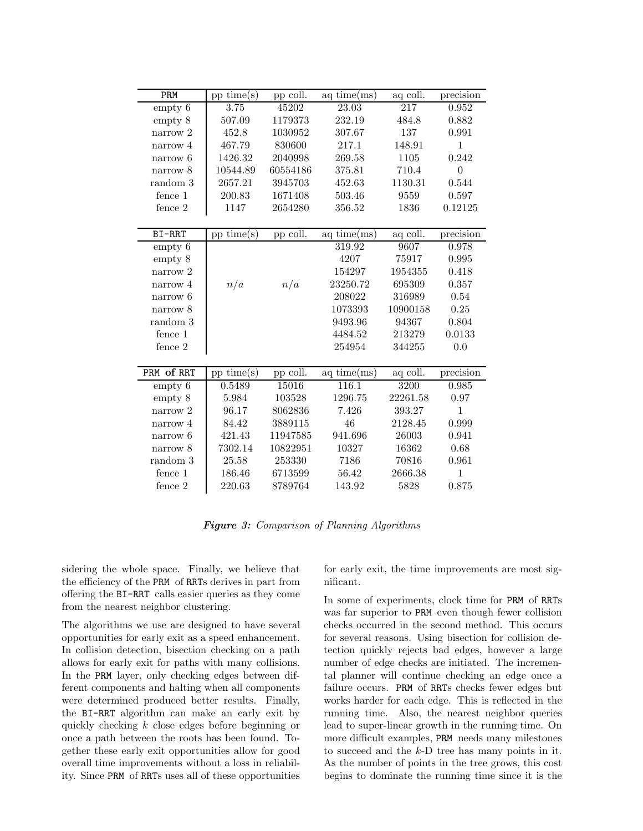| PRM          | $pp \, time(s)$ | pp coll. | $aq \, time(ms)$ | aq coll. | precision      |
|--------------|-----------------|----------|------------------|----------|----------------|
| empty 6      | 3.75            | 45202    | 23.03            | 217      | 0.952          |
| empty 8      | 507.09          | 1179373  | 232.19           | 484.8    | 0.882          |
| narrow 2     | 452.8           | 1030952  | 307.67           | 137      | 0.991          |
| narrow 4     | 467.79          | 830600   | 217.1            | 148.91   | $\mathbf{1}$   |
| narrow $6\,$ | 1426.32         | 2040998  | 269.58           | 1105     | 0.242          |
| narrow 8     | 10544.89        | 60554186 | 375.81           | 710.4    | $\overline{0}$ |
| random 3     | 2657.21         | 3945703  | 452.63           | 1130.31  | 0.544          |
| fence 1      | 200.83          | 1671408  | 503.46           | 9559     | 0.597          |
| fence 2      | 1147            | 2654280  | 356.52           | 1836     | 0.12125        |
|              |                 |          |                  |          |                |
| BI-RRT       | $pp \, time(s)$ | pp coll. | $aq \, time(ms)$ | aq coll. | precision      |
| empty 6      |                 |          | 319.92           | 9607     | 0.978          |
| empty 8      |                 |          | 4207             | 75917    | 0.995          |
| narrow 2     |                 |          | 154297           | 1954355  | 0.418          |
| narrow 4     | n/a             | n/a      | 23250.72         | 695309   | 0.357          |
| narrow 6     |                 |          | 208022           | 316989   | $0.54\,$       |
| narrow 8     |                 |          | 1073393          | 10900158 | $0.25\,$       |
| random 3     |                 |          | 9493.96          | 94367    | 0.804          |
| fence 1      |                 |          | 4484.52          | 213279   | 0.0133         |
| fence 2      |                 |          | 254954           | 344255   | 0.0            |
|              |                 |          |                  |          |                |
| PRM of RRT   | $pp \, time(s)$ | pp coll. | aq~time(ms)      | aq coll. | precision      |
| empty 6      | 0.5489          | 15016    | 116.1            | 3200     | 0.985          |
| empty 8      | 5.984           | 103528   | 1296.75          | 22261.58 | 0.97           |
| narrow 2     | 96.17           | 8062836  | 7.426            | 393.27   | $\mathbf{1}$   |
| narrow 4     | 84.42           | 3889115  | 46               | 2128.45  | 0.999          |
| narrow 6     | 421.43          | 11947585 | 941.696          | 26003    | 0.941          |
| narrow 8     | 7302.14         | 10822951 | 10327            | 16362    | 0.68           |
| random 3     | 25.58           | 253330   | 7186             | 70816    | 0.961          |
| fence 1      | 186.46          | 6713599  | 56.42            | 2666.38  | $\mathbf{1}$   |
| fence 2      | 220.63          | 8789764  | 143.92           | 5828     | 0.875          |

Figure 3: Comparison of Planning Algorithms

sidering the whole space. Finally, we believe that the efficiency of the PRM of RRTs derives in part from offering the BI-RRT calls easier queries as they come from the nearest neighbor clustering.

The algorithms we use are designed to have several opportunities for early exit as a speed enhancement. In collision detection, bisection checking on a path allows for early exit for paths with many collisions. In the PRM layer, only checking edges between different components and halting when all components were determined produced better results. Finally, the BI-RRT algorithm can make an early exit by quickly checking k close edges before beginning or once a path between the roots has been found. Together these early exit opportunities allow for good overall time improvements without a loss in reliability. Since PRM of RRTs uses all of these opportunities for early exit, the time improvements are most significant.

In some of experiments, clock time for PRM of RRTs was far superior to PRM even though fewer collision checks occurred in the second method. This occurs for several reasons. Using bisection for collision detection quickly rejects bad edges, however a large number of edge checks are initiated. The incremental planner will continue checking an edge once a failure occurs. PRM of RRTs checks fewer edges but works harder for each edge. This is reflected in the running time. Also, the nearest neighbor queries lead to super-linear growth in the running time. On more difficult examples, PRM needs many milestones to succeed and the k-D tree has many points in it. As the number of points in the tree grows, this cost begins to dominate the running time since it is the